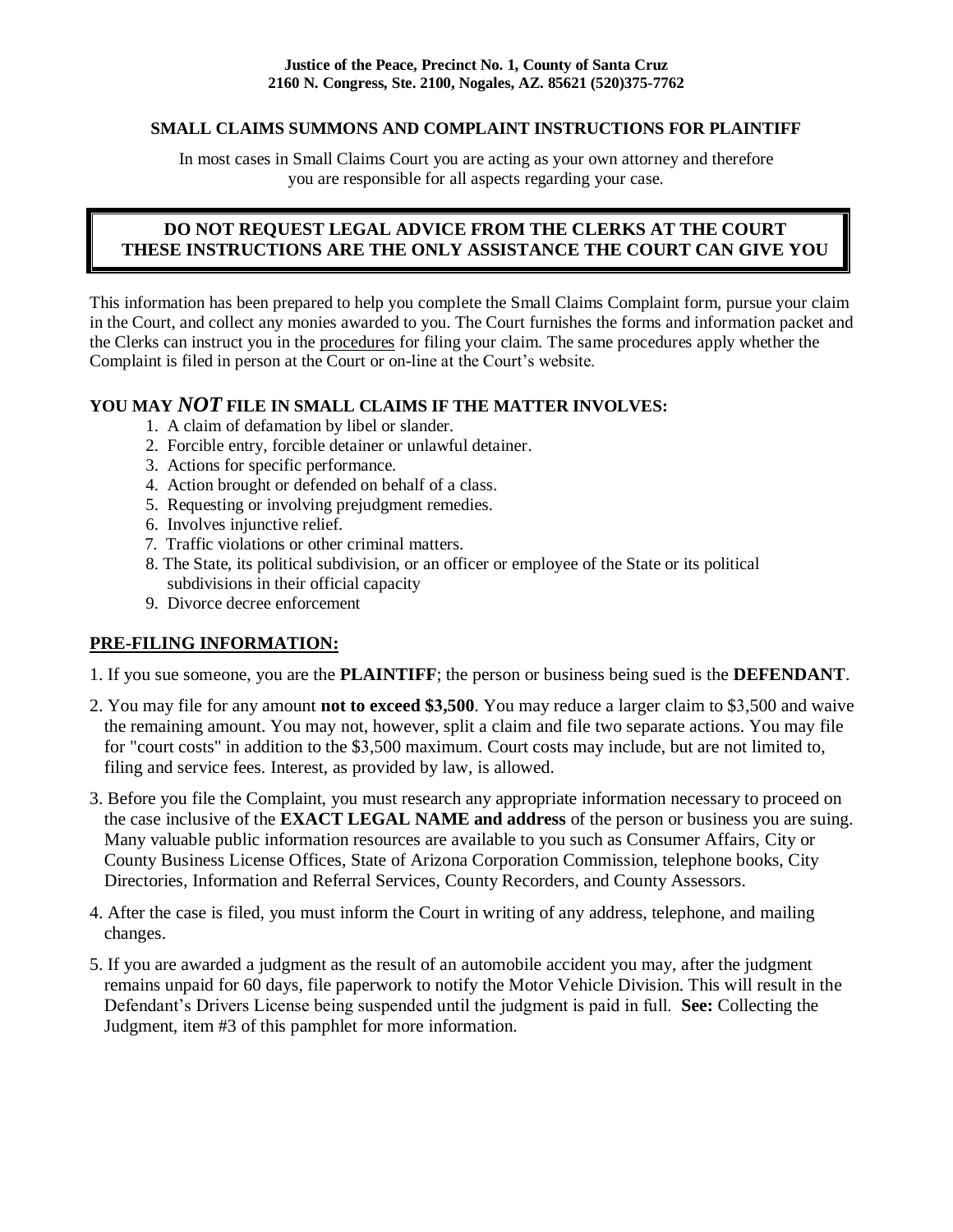### **SMALL CLAIMS SUMMONS AND COMPLAINT INSTRUCTIONS FOR PLAINTIFF**

In most cases in Small Claims Court you are acting as your own attorney and therefore you are responsible for all aspects regarding your case.

### **DO NOT REQUEST LEGAL ADVICE FROM THE CLERKS AT THE COURT THESE INSTRUCTIONS ARE THE ONLY ASSISTANCE THE COURT CAN GIVE YOU**

This information has been prepared to help you complete the Small Claims Complaint form, pursue your claim in the Court, and collect any monies awarded to you. The Court furnishes the forms and information packet and the Clerks can instruct you in the procedures for filing your claim. The same procedures apply whether the Complaint is filed in person at the Court or on-line at the Court's website.

## **YOU MAY** *NOT* **FILE IN SMALL CLAIMS IF THE MATTER INVOLVES:**

- 1. A claim of defamation by libel or slander.
- 2. Forcible entry, forcible detainer or unlawful detainer.
- 3. Actions for specific performance.
- 4. Action brought or defended on behalf of a class.
- 5. Requesting or involving prejudgment remedies.
- 6. Involves injunctive relief.
- 7. Traffic violations or other criminal matters.
- 8. The State, its political subdivision, or an officer or employee of the State or its political subdivisions in their official capacity
- 9. Divorce decree enforcement

### **PRE-FILING INFORMATION:**

- 1. If you sue someone, you are the **PLAINTIFF**; the person or business being sued is the **DEFENDANT**.
- 2. You may file for any amount **not to exceed \$3,500**. You may reduce a larger claim to \$3,500 and waive the remaining amount. You may not, however, split a claim and file two separate actions. You may file for "court costs" in addition to the \$3,500 maximum. Court costs may include, but are not limited to, filing and service fees. Interest, as provided by law, is allowed.
- 3. Before you file the Complaint, you must research any appropriate information necessary to proceed on the case inclusive of the **EXACT LEGAL NAME and address** of the person or business you are suing. Many valuable public information resources are available to you such as Consumer Affairs, City or County Business License Offices, State of Arizona Corporation Commission, telephone books, City Directories, Information and Referral Services, County Recorders, and County Assessors.
- 4. After the case is filed, you must inform the Court in writing of any address, telephone, and mailing changes.
- 5. If you are awarded a judgment as the result of an automobile accident you may, after the judgment remains unpaid for 60 days, file paperwork to notify the Motor Vehicle Division. This will result in the Defendant's Drivers License being suspended until the judgment is paid in full. **See:** Collecting the Judgment, item #3 of this pamphlet for more information.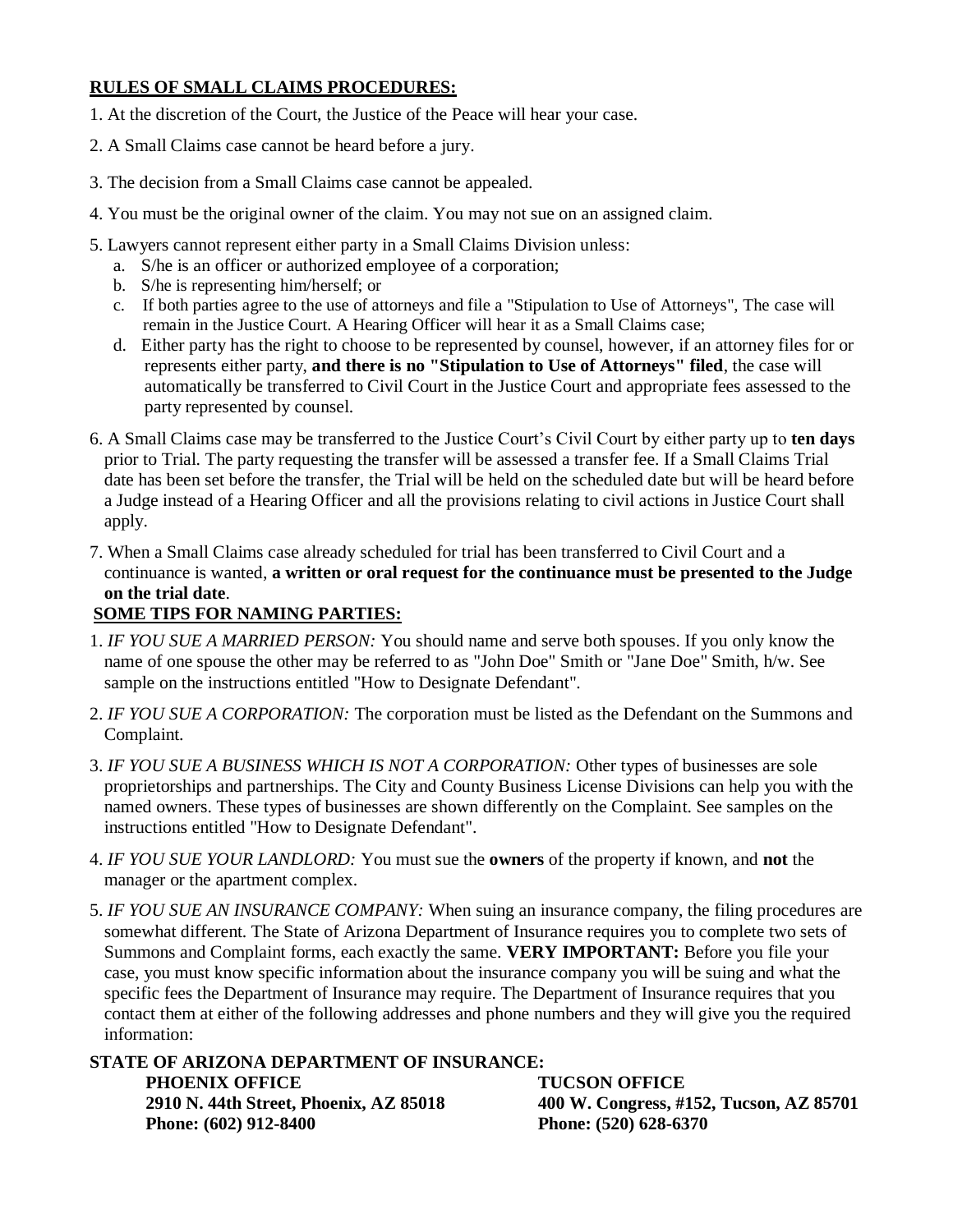### **RULES OF SMALL CLAIMS PROCEDURES:**

- 1. At the discretion of the Court, the Justice of the Peace will hear your case.
- 2. A Small Claims case cannot be heard before a jury.
- 3. The decision from a Small Claims case cannot be appealed.
- 4. You must be the original owner of the claim. You may not sue on an assigned claim.
- 5. Lawyers cannot represent either party in a Small Claims Division unless:
	- a. S/he is an officer or authorized employee of a corporation;
	- b. S/he is representing him/herself; or
	- c. If both parties agree to the use of attorneys and file a "Stipulation to Use of Attorneys", The case will remain in the Justice Court. A Hearing Officer will hear it as a Small Claims case;
	- d. Either party has the right to choose to be represented by counsel, however, if an attorney files for or represents either party, **and there is no "Stipulation to Use of Attorneys" filed**, the case will automatically be transferred to Civil Court in the Justice Court and appropriate fees assessed to the party represented by counsel.
- 6. A Small Claims case may be transferred to the Justice Court's Civil Court by either party up to **ten days** prior to Trial. The party requesting the transfer will be assessed a transfer fee. If a Small Claims Trial date has been set before the transfer, the Trial will be held on the scheduled date but will be heard before a Judge instead of a Hearing Officer and all the provisions relating to civil actions in Justice Court shall apply.
- 7. When a Small Claims case already scheduled for trial has been transferred to Civil Court and a continuance is wanted, **a written or oral request for the continuance must be presented to the Judge on the trial date**.

# **SOME TIPS FOR NAMING PARTIES:**

- 1. *IF YOU SUE A MARRIED PERSON:* You should name and serve both spouses. If you only know the name of one spouse the other may be referred to as "John Doe" Smith or "Jane Doe" Smith, h/w. See sample on the instructions entitled "How to Designate Defendant".
- 2. *IF YOU SUE A CORPORATION:* The corporation must be listed as the Defendant on the Summons and Complaint.
- 3. *IF YOU SUE A BUSINESS WHICH IS NOT A CORPORATION:* Other types of businesses are sole proprietorships and partnerships. The City and County Business License Divisions can help you with the named owners. These types of businesses are shown differently on the Complaint. See samples on the instructions entitled "How to Designate Defendant".
- 4. *IF YOU SUE YOUR LANDLORD:* You must sue the **owners** of the property if known, and **not** the manager or the apartment complex.
- 5. *IF YOU SUE AN INSURANCE COMPANY:* When suing an insurance company, the filing procedures are somewhat different. The State of Arizona Department of Insurance requires you to complete two sets of Summons and Complaint forms, each exactly the same. **VERY IMPORTANT:** Before you file your case, you must know specific information about the insurance company you will be suing and what the specific fees the Department of Insurance may require. The Department of Insurance requires that you contact them at either of the following addresses and phone numbers and they will give you the required information:

**STATE OF ARIZONA DEPARTMENT OF INSURANCE: PHOENIX OFFICE** TUCSON OFFICE<br>
2910 N. 44th Street, Phoenix, AZ 85018 400 W. Congress, #1 **Phone: (602) 912-8400** Phone: (520) 628-6370

**2910 N. 44th Street, Phoenix, AZ 85018 400 W. Congress, #152, Tucson, AZ 85701**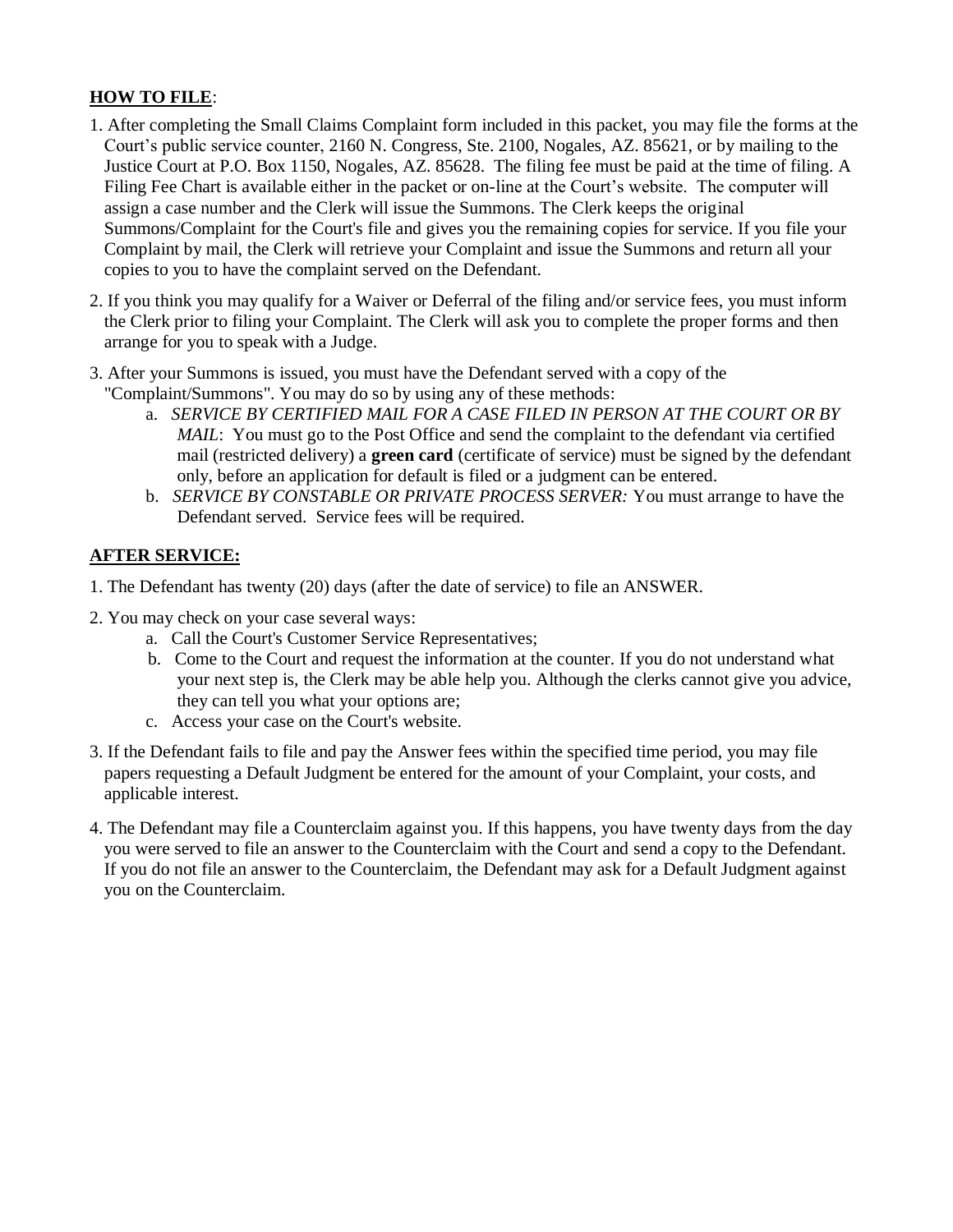# **HOW TO FILE**:

- 1. After completing the Small Claims Complaint form included in this packet, you may file the forms at the Court's public service counter, 2160 N. Congress, Ste. 2100, Nogales, AZ. 85621, or by mailing to the Justice Court at P.O. Box 1150, Nogales, AZ. 85628. The filing fee must be paid at the time of filing. A Filing Fee Chart is available either in the packet or on-line at the Court's website. The computer will assign a case number and the Clerk will issue the Summons. The Clerk keeps the original Summons/Complaint for the Court's file and gives you the remaining copies for service. If you file your Complaint by mail, the Clerk will retrieve your Complaint and issue the Summons and return all your copies to you to have the complaint served on the Defendant.
- 2. If you think you may qualify for a Waiver or Deferral of the filing and/or service fees, you must inform the Clerk prior to filing your Complaint. The Clerk will ask you to complete the proper forms and then arrange for you to speak with a Judge.
- 3. After your Summons is issued, you must have the Defendant served with a copy of the "Complaint/Summons". You may do so by using any of these methods:
	- a. *SERVICE BY CERTIFIED MAIL FOR A CASE FILED IN PERSON AT THE COURT OR BY MAIL*: You must go to the Post Office and send the complaint to the defendant via certified mail (restricted delivery) a **green card** (certificate of service) must be signed by the defendant only, before an application for default is filed or a judgment can be entered.
	- b. *SERVICE BY CONSTABLE OR PRIVATE PROCESS SERVER:* You must arrange to have the Defendant served. Service fees will be required.

# **AFTER SERVICE:**

- 1. The Defendant has twenty (20) days (after the date of service) to file an ANSWER.
- 2. You may check on your case several ways:
	- a. Call the Court's Customer Service Representatives;
	- b. Come to the Court and request the information at the counter. If you do not understand what your next step is, the Clerk may be able help you. Although the clerks cannot give you advice, they can tell you what your options are;
	- c. Access your case on the Court's website.
- 3. If the Defendant fails to file and pay the Answer fees within the specified time period, you may file papers requesting a Default Judgment be entered for the amount of your Complaint, your costs, and applicable interest.
- 4. The Defendant may file a Counterclaim against you. If this happens, you have twenty days from the day you were served to file an answer to the Counterclaim with the Court and send a copy to the Defendant. If you do not file an answer to the Counterclaim, the Defendant may ask for a Default Judgment against you on the Counterclaim.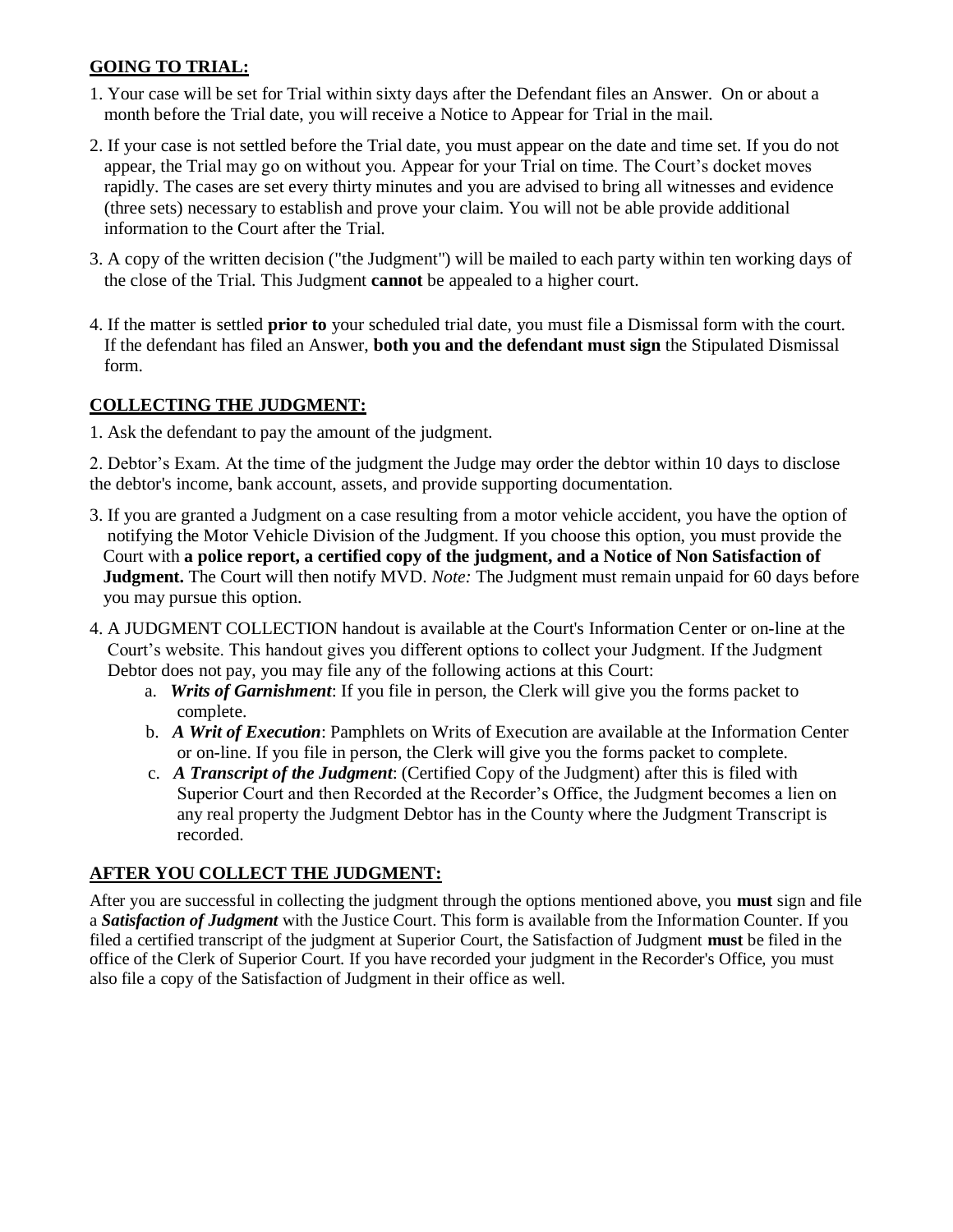# **GOING TO TRIAL:**

- 1. Your case will be set for Trial within sixty days after the Defendant files an Answer. On or about a month before the Trial date, you will receive a Notice to Appear for Trial in the mail.
- 2. If your case is not settled before the Trial date, you must appear on the date and time set. If you do not appear, the Trial may go on without you. Appear for your Trial on time. The Court's docket moves rapidly. The cases are set every thirty minutes and you are advised to bring all witnesses and evidence (three sets) necessary to establish and prove your claim. You will not be able provide additional information to the Court after the Trial.
- 3. A copy of the written decision ("the Judgment") will be mailed to each party within ten working days of the close of the Trial. This Judgment **cannot** be appealed to a higher court.
- 4. If the matter is settled **prior to** your scheduled trial date, you must file a Dismissal form with the court. If the defendant has filed an Answer, **both you and the defendant must sign** the Stipulated Dismissal form.

# **COLLECTING THE JUDGMENT:**

1. Ask the defendant to pay the amount of the judgment.

2. Debtor's Exam. At the time of the judgment the Judge may order the debtor within 10 days to disclose the debtor's income, bank account, assets, and provide supporting documentation.

- 3. If you are granted a Judgment on a case resulting from a motor vehicle accident, you have the option of notifying the Motor Vehicle Division of the Judgment. If you choose this option, you must provide the Court with **a police report, a certified copy of the judgment, and a Notice of Non Satisfaction of Judgment.** The Court will then notify MVD. *Note:* The Judgment must remain unpaid for 60 days before you may pursue this option.
- 4. A JUDGMENT COLLECTION handout is available at the Court's Information Center or on-line at the Court's website. This handout gives you different options to collect your Judgment. If the Judgment Debtor does not pay, you may file any of the following actions at this Court:
	- a. *Writs of Garnishment*: If you file in person, the Clerk will give you the forms packet to complete.
	- b. *A Writ of Execution*: Pamphlets on Writs of Execution are available at the Information Center or on-line. If you file in person, the Clerk will give you the forms packet to complete.
	- c. *A Transcript of the Judgment*: (Certified Copy of the Judgment) after this is filed with Superior Court and then Recorded at the Recorder's Office, the Judgment becomes a lien on any real property the Judgment Debtor has in the County where the Judgment Transcript is recorded.

## **AFTER YOU COLLECT THE JUDGMENT:**

After you are successful in collecting the judgment through the options mentioned above, you **must** sign and file a *Satisfaction of Judgment* with the Justice Court. This form is available from the Information Counter. If you filed a certified transcript of the judgment at Superior Court, the Satisfaction of Judgment **must** be filed in the office of the Clerk of Superior Court. If you have recorded your judgment in the Recorder's Office, you must also file a copy of the Satisfaction of Judgment in their office as well.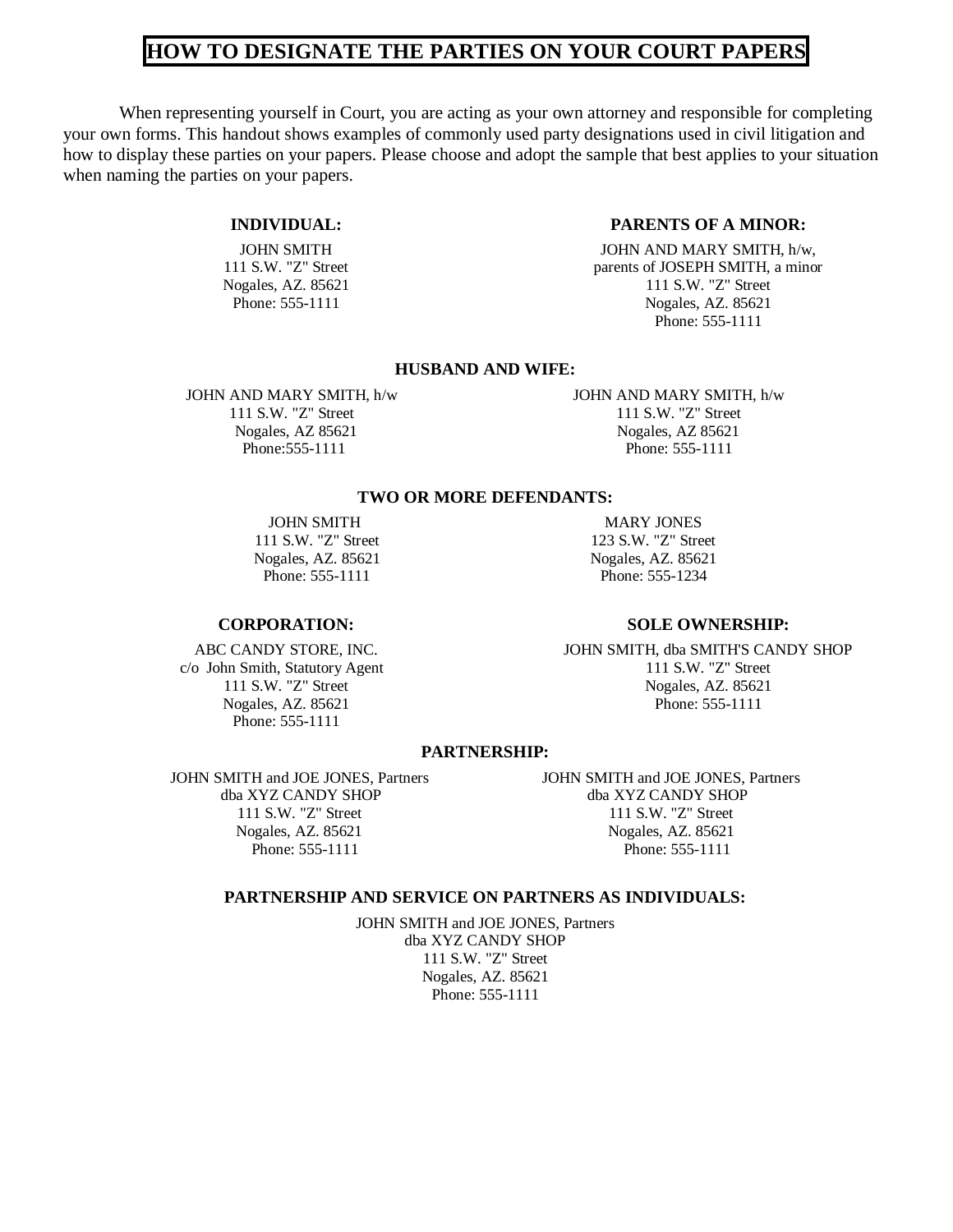# **HOW TO DESIGNATE THE PARTIES ON YOUR COURT PAPERS**

When representing yourself in Court, you are acting as your own attorney and responsible for completing your own forms. This handout shows examples of commonly used party designations used in civil litigation and how to display these parties on your papers. Please choose and adopt the sample that best applies to your situation when naming the parties on your papers.

#### **INDIVIDUAL:**

JOHN SMITH 111 S.W. "Z" Street Nogales, AZ. 85621 Phone: 555-1111

### **PARENTS OF A MINOR:**

JOHN AND MARY SMITH, h/w, parents of JOSEPH SMITH, a minor 111 S.W. "Z" Street Nogales, AZ. 85621 Phone: 555-1111

#### **HUSBAND AND WIFE:**

#### JOHN AND MARY SMITH, h/w JOHN AND MARY SMITH, h/w 111 S.W. "Z" Street 111 S.W. "Z" Street Nogales, AZ 85621 Nogales, AZ 85621 Phone: 555-1111 Phone: 555-1111

#### **TWO OR MORE DEFENDANTS:**

#### **CORPORATION:**

ABC CANDY STORE, INC. c/o John Smith, Statutory Agent 111 S.W. "Z" Street Nogales, AZ. 85621 Phone: 555-1111

JOHN SMITH MARY JONES 111 S.W. "Z" Street 123 S.W. "Z" Street Nogales, AZ. 85621 Nogales, AZ. 85621 Phone: 555-1111 Phone: 555-1234

#### **SOLE OWNERSHIP:**

JOHN SMITH, dba SMITH'S CANDY SHOP 111 S.W. "Z" Street Nogales, AZ. 85621 Phone: 555-1111

#### **PARTNERSHIP:**

JOHN SMITH and JOE JONES, Partners JOHN SMITH and JOE JONES, Partners dba XYZ CANDY SHOP dba XYZ CANDY SHOP Nogales, AZ. 85621 Nogales, AZ. 85621 Nogales, AZ. 85621 Phone: 555-1111 Phone: 555-1111

111 S.W. "Z" Street 111 S.W. "Z" Street Phone: 555-1111

### **PARTNERSHIP AND SERVICE ON PARTNERS AS INDIVIDUALS:**

JOHN SMITH and JOE JONES, Partners dba XYZ CANDY SHOP 111 S.W. "Z" Street Nogales, AZ. 85621 Phone: 555-1111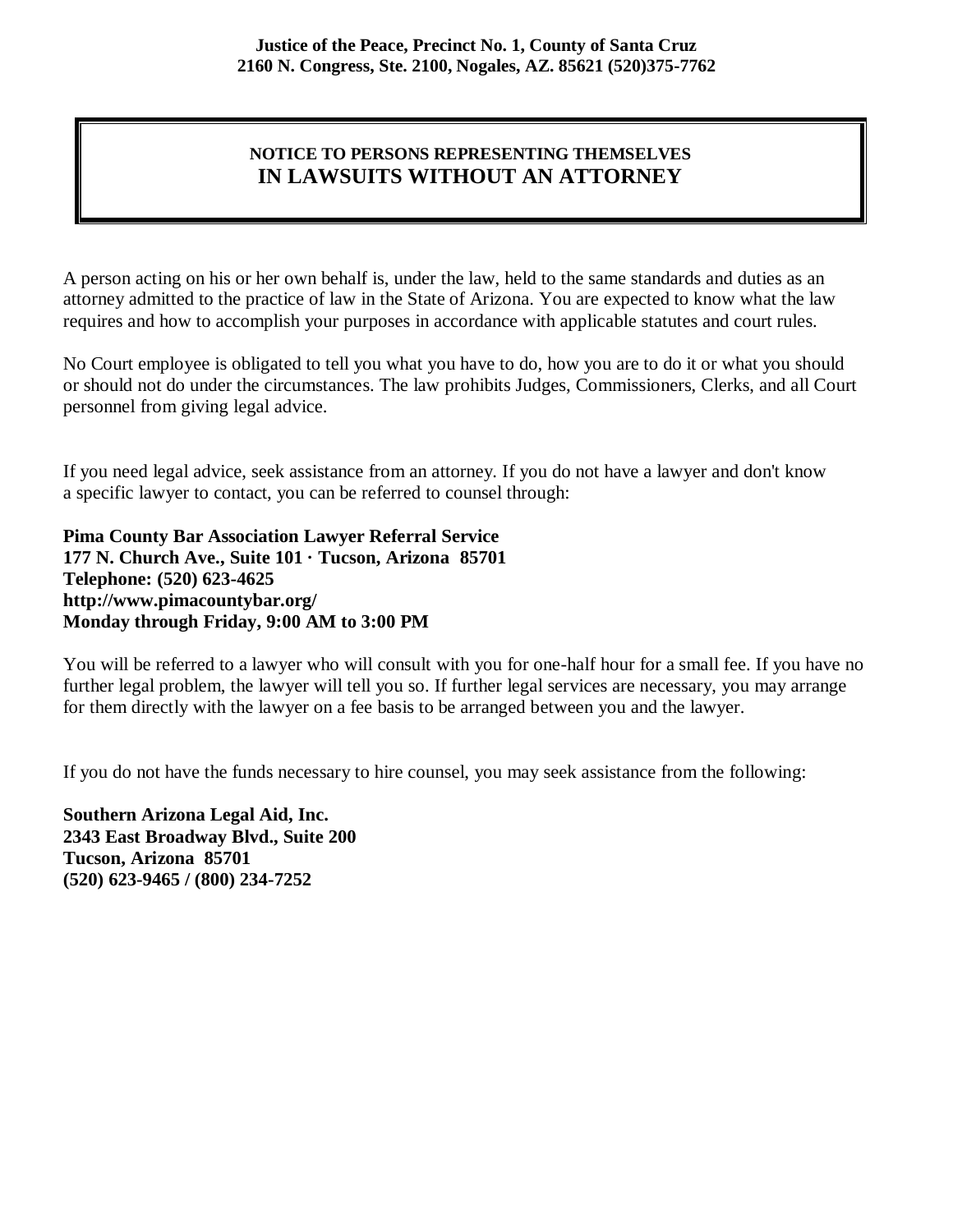# **NOTICE TO PERSONS REPRESENTING THEMSELVES IN LAWSUITS WITHOUT AN ATTORNEY**

A person acting on his or her own behalf is, under the law, held to the same standards and duties as an attorney admitted to the practice of law in the State of Arizona. You are expected to know what the law requires and how to accomplish your purposes in accordance with applicable statutes and court rules.

No Court employee is obligated to tell you what you have to do, how you are to do it or what you should or should not do under the circumstances. The law prohibits Judges, Commissioners, Clerks, and all Court personnel from giving legal advice.

If you need legal advice, seek assistance from an attorney. If you do not have a lawyer and don't know a specific lawyer to contact, you can be referred to counsel through:

**Pima County Bar Association Lawyer Referral Service 177 N. Church Ave., Suite 101 · Tucson, Arizona 85701 Telephone: (520) 623-4625 http://www.pimacountybar.org/ Monday through Friday, 9:00 AM to 3:00 PM** 

You will be referred to a lawyer who will consult with you for one-half hour for a small fee. If you have no further legal problem, the lawyer will tell you so. If further legal services are necessary, you may arrange for them directly with the lawyer on a fee basis to be arranged between you and the lawyer.

If you do not have the funds necessary to hire counsel, you may seek assistance from the following:

**Southern Arizona Legal Aid, Inc. 2343 East Broadway Blvd., Suite 200 Tucson, Arizona 85701 (520) 623-9465 / (800) 234-7252**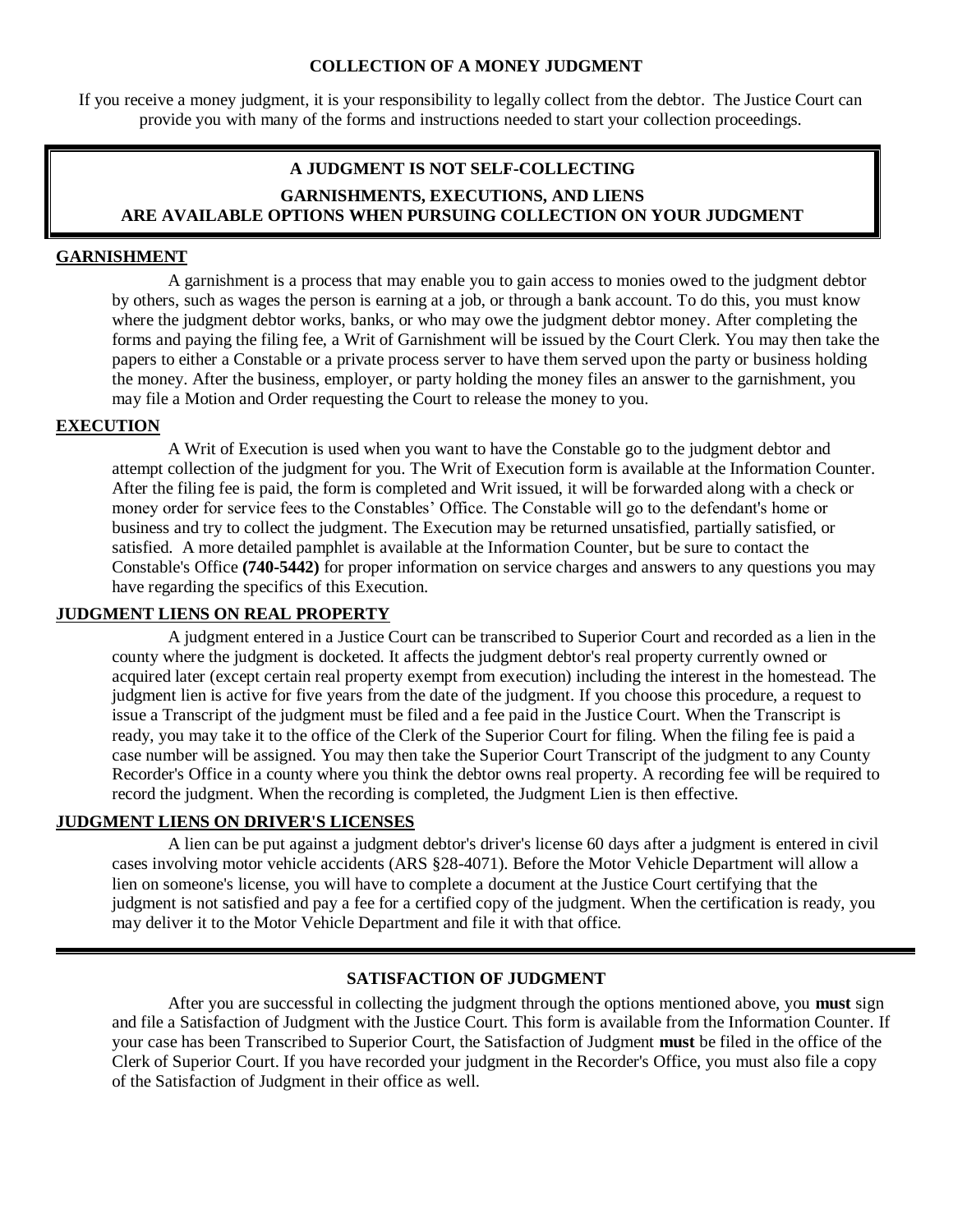#### **COLLECTION OF A MONEY JUDGMENT**

If you receive a money judgment, it is your responsibility to legally collect from the debtor. The Justice Court can provide you with many of the forms and instructions needed to start your collection proceedings.

## **A JUDGMENT IS NOT SELF-COLLECTING GARNISHMENTS, EXECUTIONS, AND LIENS ARE AVAILABLE OPTIONS WHEN PURSUING COLLECTION ON YOUR JUDGMENT**

### **GARNISHMENT**

A garnishment is a process that may enable you to gain access to monies owed to the judgment debtor by others, such as wages the person is earning at a job, or through a bank account. To do this, you must know where the judgment debtor works, banks, or who may owe the judgment debtor money. After completing the forms and paying the filing fee, a Writ of Garnishment will be issued by the Court Clerk. You may then take the papers to either a Constable or a private process server to have them served upon the party or business holding the money. After the business, employer, or party holding the money files an answer to the garnishment, you may file a Motion and Order requesting the Court to release the money to you.

#### **EXECUTION**

A Writ of Execution is used when you want to have the Constable go to the judgment debtor and attempt collection of the judgment for you. The Writ of Execution form is available at the Information Counter. After the filing fee is paid, the form is completed and Writ issued, it will be forwarded along with a check or money order for service fees to the Constables' Office. The Constable will go to the defendant's home or business and try to collect the judgment. The Execution may be returned unsatisfied, partially satisfied, or satisfied. A more detailed pamphlet is available at the Information Counter, but be sure to contact the Constable's Office **(740-5442)** for proper information on service charges and answers to any questions you may have regarding the specifics of this Execution.

### **JUDGMENT LIENS ON REAL PROPERTY**

A judgment entered in a Justice Court can be transcribed to Superior Court and recorded as a lien in the county where the judgment is docketed. It affects the judgment debtor's real property currently owned or acquired later (except certain real property exempt from execution) including the interest in the homestead. The judgment lien is active for five years from the date of the judgment. If you choose this procedure, a request to issue a Transcript of the judgment must be filed and a fee paid in the Justice Court. When the Transcript is ready, you may take it to the office of the Clerk of the Superior Court for filing. When the filing fee is paid a case number will be assigned. You may then take the Superior Court Transcript of the judgment to any County Recorder's Office in a county where you think the debtor owns real property. A recording fee will be required to record the judgment. When the recording is completed, the Judgment Lien is then effective.

### **JUDGMENT LIENS ON DRIVER'S LICENSES**

A lien can be put against a judgment debtor's driver's license 60 days after a judgment is entered in civil cases involving motor vehicle accidents (ARS §28-4071). Before the Motor Vehicle Department will allow a lien on someone's license, you will have to complete a document at the Justice Court certifying that the judgment is not satisfied and pay a fee for a certified copy of the judgment. When the certification is ready, you may deliver it to the Motor Vehicle Department and file it with that office.

### **SATISFACTION OF JUDGMENT**

After you are successful in collecting the judgment through the options mentioned above, you **must** sign and file a Satisfaction of Judgment with the Justice Court. This form is available from the Information Counter. If your case has been Transcribed to Superior Court, the Satisfaction of Judgment **must** be filed in the office of the Clerk of Superior Court. If you have recorded your judgment in the Recorder's Office, you must also file a copy of the Satisfaction of Judgment in their office as well.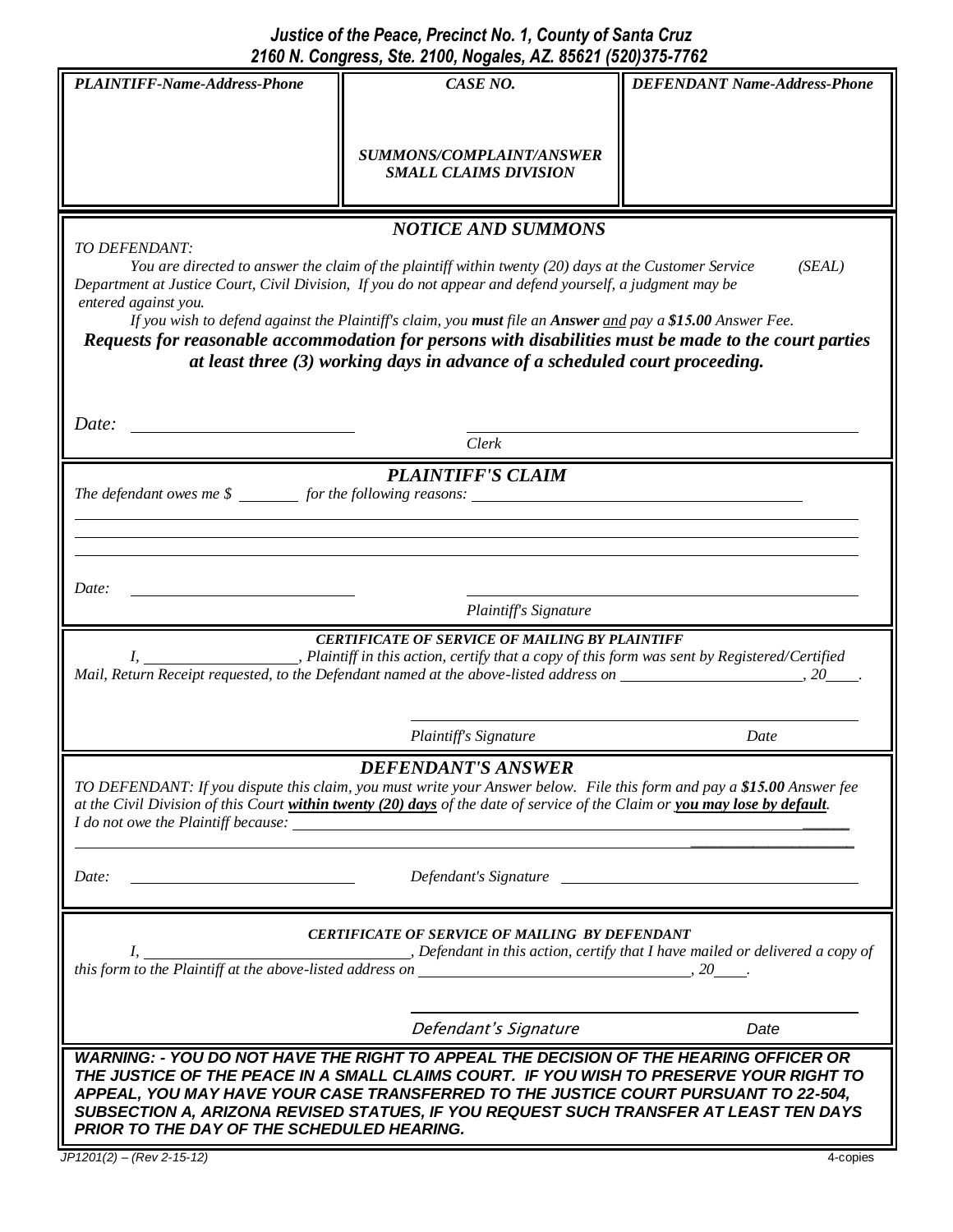|                                                                                                                                                                                                                                                       | 2100 N. Congress, Ste. 2100, Nogales, AZ. 85621 (520)375-7762 |                                     |
|-------------------------------------------------------------------------------------------------------------------------------------------------------------------------------------------------------------------------------------------------------|---------------------------------------------------------------|-------------------------------------|
| <b>PLAINTIFF-Name-Address-Phone</b>                                                                                                                                                                                                                   | CASE NO.                                                      | <b>DEFENDANT Name-Address-Phone</b> |
|                                                                                                                                                                                                                                                       |                                                               |                                     |
|                                                                                                                                                                                                                                                       |                                                               |                                     |
|                                                                                                                                                                                                                                                       | SUMMONS/COMPLAINT/ANSWER                                      |                                     |
|                                                                                                                                                                                                                                                       | <b>SMALL CLAIMS DIVISION</b>                                  |                                     |
|                                                                                                                                                                                                                                                       |                                                               |                                     |
| <b>NOTICE AND SUMMONS</b>                                                                                                                                                                                                                             |                                                               |                                     |
| TO DEFENDANT:                                                                                                                                                                                                                                         |                                                               |                                     |
| (SEAL)<br>You are directed to answer the claim of the plaintiff within twenty (20) days at the Customer Service<br>Department at Justice Court, Civil Division, If you do not appear and defend yourself, a judgment may be                           |                                                               |                                     |
| entered against you.                                                                                                                                                                                                                                  |                                                               |                                     |
| If you wish to defend against the Plaintiff's claim, you must file an Answer and pay a \$15.00 Answer Fee.                                                                                                                                            |                                                               |                                     |
| Requests for reasonable accommodation for persons with disabilities must be made to the court parties                                                                                                                                                 |                                                               |                                     |
| at least three (3) working days in advance of a scheduled court proceeding.                                                                                                                                                                           |                                                               |                                     |
|                                                                                                                                                                                                                                                       |                                                               |                                     |
|                                                                                                                                                                                                                                                       |                                                               |                                     |
| Date:                                                                                                                                                                                                                                                 | Clerk                                                         |                                     |
|                                                                                                                                                                                                                                                       |                                                               |                                     |
| <b>PLAINTIFF'S CLAIM</b><br>The defendant owes me $\frac{1}{2}$ for the following reasons:                                                                                                                                                            |                                                               |                                     |
|                                                                                                                                                                                                                                                       |                                                               |                                     |
|                                                                                                                                                                                                                                                       |                                                               |                                     |
|                                                                                                                                                                                                                                                       |                                                               |                                     |
|                                                                                                                                                                                                                                                       |                                                               |                                     |
| Date:<br>Plaintiff's Signature                                                                                                                                                                                                                        |                                                               |                                     |
|                                                                                                                                                                                                                                                       |                                                               |                                     |
| <b>CERTIFICATE OF SERVICE OF MAILING BY PLAINTIFF</b><br>Plaintiff in this action, certify that a copy of this form was sent by Registered/Certified,<br>$I_{\cdot}$                                                                                  |                                                               |                                     |
|                                                                                                                                                                                                                                                       |                                                               |                                     |
|                                                                                                                                                                                                                                                       |                                                               |                                     |
|                                                                                                                                                                                                                                                       |                                                               |                                     |
|                                                                                                                                                                                                                                                       | Plaintiff's Signature                                         | Date                                |
| <b>DEFENDANT'S ANSWER</b>                                                                                                                                                                                                                             |                                                               |                                     |
| TO DEFENDANT: If you dispute this claim, you must write your Answer below. File this form and pay a \$15.00 Answer fee<br>at the Civil Division of this Court within twenty (20) days of the date of service of the Claim or you may lose by default. |                                                               |                                     |
| <i>I do not owe the Plaintiff because:</i>                                                                                                                                                                                                            |                                                               |                                     |
|                                                                                                                                                                                                                                                       |                                                               |                                     |
| Date:                                                                                                                                                                                                                                                 |                                                               |                                     |
|                                                                                                                                                                                                                                                       |                                                               | Defendant's Signature               |
|                                                                                                                                                                                                                                                       |                                                               |                                     |
| <b>CERTIFICATE OF SERVICE OF MAILING BY DEFENDANT</b>                                                                                                                                                                                                 |                                                               |                                     |
| $\Box$ , Defendant in this action, certify that I have mailed or delivered a copy of<br>$\mathbf{I}$ , $\mathbf{I}$                                                                                                                                   |                                                               |                                     |
|                                                                                                                                                                                                                                                       |                                                               |                                     |
|                                                                                                                                                                                                                                                       |                                                               |                                     |
|                                                                                                                                                                                                                                                       | Defendant's Signature                                         | Date                                |
| WARNING: - YOU DO NOT HAVE THE RIGHT TO APPEAL THE DECISION OF THE HEARING OFFICER OR                                                                                                                                                                 |                                                               |                                     |
| THE JUSTICE OF THE PEACE IN A SMALL CLAIMS COURT. IF YOU WISH TO PRESERVE YOUR RIGHT TO                                                                                                                                                               |                                                               |                                     |
| APPEAL, YOU MAY HAVE YOUR CASE TRANSFERRED TO THE JUSTICE COURT PURSUANT TO 22-504,                                                                                                                                                                   |                                                               |                                     |
| SUBSECTION A, ARIZONA REVISED STATUES, IF YOU REQUEST SUCH TRANSFER AT LEAST TEN DAYS<br>PRIOR TO THE DAY OF THE SCHEDULED HEARING.                                                                                                                   |                                                               |                                     |
|                                                                                                                                                                                                                                                       |                                                               |                                     |